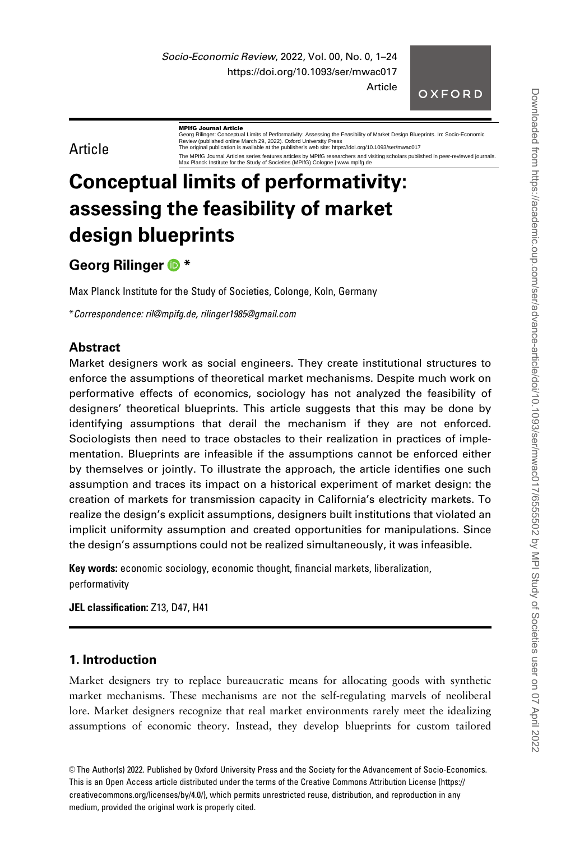Socio-Economic Review, 2022, Vol. 00, No. 0, 1–24 https://doi.org/10.1093/ser/mwac017 Article

OXFORD

# Article

**MPIfG Journal Article**<br>Georg Rilinger: Conceptual Limits of Per ativity: Assessing the Feasibility of Market Design Blueprints. In: Socio-Economic Review (published online March 29, 2022). Oxford University Press The original publication is available at the publisher's web site: https://doi.org/10.1093/ser/mwac017

The MPIfG Journal Articles series features articles by MPIfG researchers and visiting scholars published in peer-reviewed journals. Max Planck Institute for the Study of Societies (MPIfG) Cologne | www.mpifg.de

# Conceptual limits of performativity: assessing the feasibility of market design blueprints

# Georg Rilinger <sup>®</sup>

Max Planck Institute for the Study of Societies, Colonge, Koln, Germany

\*Correspondence: ril@mpifg.de, rilinger1985@gmail.com

# **Abstract**

Market designers work as social engineers. They create institutional structures to enforce the assumptions of theoretical market mechanisms. Despite much work on performative effects of economics, sociology has not analyzed the feasibility of designers' theoretical blueprints. This article suggests that this may be done by identifying assumptions that derail the mechanism if they are not enforced. Sociologists then need to trace obstacles to their realization in practices of implementation. Blueprints are infeasible if the assumptions cannot be enforced either by themselves or jointly. To illustrate the approach, the article identifies one such assumption and traces its impact on a historical experiment of market design: the creation of markets for transmission capacity in California's electricity markets. To realize the design's explicit assumptions, designers built institutions that violated an implicit uniformity assumption and created opportunities for manipulations. Since the design's assumptions could not be realized simultaneously, it was infeasible.

Key words: economic sociology, economic thought, financial markets, liberalization, performativity

JEL classification: Z13, D47, H41

# 1. Introduction

Market designers try to replace bureaucratic means for allocating goods with synthetic market mechanisms. These mechanisms are not the self-regulating marvels of neoliberal lore. Market designers recognize that real market environments rarely meet the idealizing assumptions of economic theory. Instead, they develop blueprints for custom tailored

V<sup>C</sup> The Author(s) 2022. Published by Oxford University Press and the Society for the Advancement of Socio-Economics. This is an Open Access article distributed under the terms of the Creative Commons Attribution License (https:// creativecommons.org/licenses/by/4.0/), which permits unrestricted reuse, distribution, and reproduction in any medium, provided the original work is properly cited.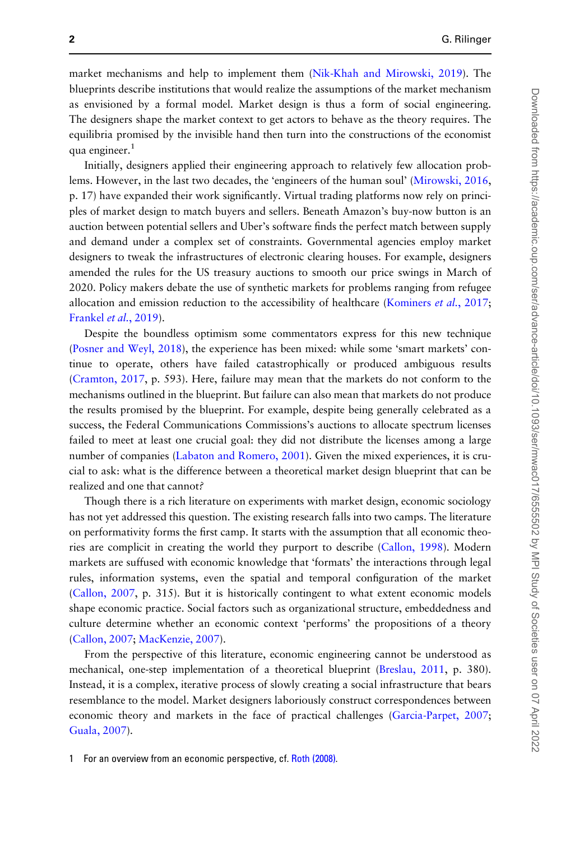market mechanisms and help to implement them ([Nik-Khah and Mirowski, 2019\)](#page-22-0). The blueprints describe institutions that would realize the assumptions of the market mechanism as envisioned by a formal model. Market design is thus a form of social engineering. The designers shape the market context to get actors to behave as the theory requires. The equilibria promised by the invisible hand then turn into the constructions of the economist qua engineer.<sup>1</sup>

Initially, designers applied their engineering approach to relatively few allocation problems. However, in the last two decades, the 'engineers of the human soul' [\(Mirowski, 2016](#page-21-0), p. 17) have expanded their work significantly. Virtual trading platforms now rely on principles of market design to match buyers and sellers. Beneath Amazon's buy-now button is an auction between potential sellers and Uber's software finds the perfect match between supply and demand under a complex set of constraints. Governmental agencies employ market designers to tweak the infrastructures of electronic clearing houses. For example, designers amended the rules for the US treasury auctions to smooth our price swings in March of 2020. Policy makers debate the use of synthetic markets for problems ranging from refugee allocation and emission reduction to the accessibility of healthcare [\(Kominers](#page-21-0) et al., 2017; [Frankel](#page-21-0) et al., 2019).

Despite the boundless optimism some commentators express for this new technique [\(Posner and Weyl, 2018](#page-22-0)), the experience has been mixed: while some 'smart markets' continue to operate, others have failed catastrophically or produced ambiguous results [\(Cramton, 2017](#page-20-0), p. 593). Here, failure may mean that the markets do not conform to the mechanisms outlined in the blueprint. But failure can also mean that markets do not produce the results promised by the blueprint. For example, despite being generally celebrated as a success, the Federal Communications Commissions's auctions to allocate spectrum licenses failed to meet at least one crucial goal: they did not distribute the licenses among a large number of companies ([Labaton and Romero, 2001\)](#page-21-0). Given the mixed experiences, it is crucial to ask: what is the difference between a theoretical market design blueprint that can be realized and one that cannot?

Though there is a rich literature on experiments with market design, economic sociology has not yet addressed this question. The existing research falls into two camps. The literature on performativity forms the first camp. It starts with the assumption that all economic theories are complicit in creating the world they purport to describe ([Callon, 1998\)](#page-20-0). Modern markets are suffused with economic knowledge that 'formats' the interactions through legal rules, information systems, even the spatial and temporal configuration of the market [\(Callon, 2007](#page-20-0), p. 315). But it is historically contingent to what extent economic models shape economic practice. Social factors such as organizational structure, embeddedness and culture determine whether an economic context 'performs' the propositions of a theory [\(Callon, 2007;](#page-20-0) [MacKenzie, 2007](#page-21-0)).

From the perspective of this literature, economic engineering cannot be understood as mechanical, one-step implementation of a theoretical blueprint [\(Breslau, 2011,](#page-20-0) p. 380). Instead, it is a complex, iterative process of slowly creating a social infrastructure that bears resemblance to the model. Market designers laboriously construct correspondences between economic theory and markets in the face of practical challenges [\(Garcia-Parpet, 2007](#page-21-0); [Guala, 2007\)](#page-21-0).

1 For an overview from an economic perspective, cf. [Roth \(2008\).](#page-22-0)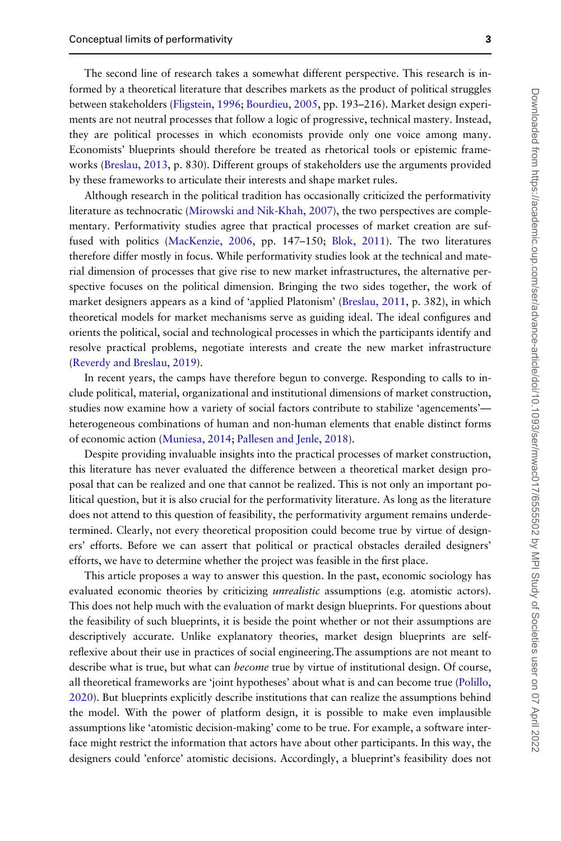The second line of research takes a somewhat different perspective. This research is informed by a theoretical literature that describes markets as the product of political struggles between stakeholders ([Fligstein, 1996;](#page-20-0) [Bourdieu, 2005,](#page-20-0) pp. 193–216). Market design experiments are not neutral processes that follow a logic of progressive, technical mastery. Instead, they are political processes in which economists provide only one voice among many. Economists' blueprints should therefore be treated as rhetorical tools or epistemic frame-works [\(Breslau, 2013](#page-20-0), p. 830). Different groups of stakeholders use the arguments provided by these frameworks to articulate their interests and shape market rules.

Although research in the political tradition has occasionally criticized the performativity literature as technocratic ([Mirowski and Nik-Khah, 2007\)](#page-21-0), the two perspectives are complementary. Performativity studies agree that practical processes of market creation are suffused with politics ([MacKenzie, 2006](#page-21-0), pp. 147–150; [Blok, 2011](#page-20-0)). The two literatures therefore differ mostly in focus. While performativity studies look at the technical and material dimension of processes that give rise to new market infrastructures, the alternative perspective focuses on the political dimension. Bringing the two sides together, the work of market designers appears as a kind of 'applied Platonism' ([Breslau, 2011](#page-20-0), p. 382), in which theoretical models for market mechanisms serve as guiding ideal. The ideal configures and orients the political, social and technological processes in which the participants identify and resolve practical problems, negotiate interests and create the new market infrastructure [\(Reverdy and Breslau, 2019](#page-22-0)).

In recent years, the camps have therefore begun to converge. Responding to calls to include political, material, organizational and institutional dimensions of market construction, studies now examine how a variety of social factors contribute to stabilize 'agencements' heterogeneous combinations of human and non-human elements that enable distinct forms of economic action [\(Muniesa, 2014;](#page-22-0) [Pallesen and Jenle, 2018\)](#page-22-0).

Despite providing invaluable insights into the practical processes of market construction, this literature has never evaluated the difference between a theoretical market design proposal that can be realized and one that cannot be realized. This is not only an important political question, but it is also crucial for the performativity literature. As long as the literature does not attend to this question of feasibility, the performativity argument remains underdetermined. Clearly, not every theoretical proposition could become true by virtue of designers' efforts. Before we can assert that political or practical obstacles derailed designers' efforts, we have to determine whether the project was feasible in the first place.

This article proposes a way to answer this question. In the past, economic sociology has evaluated economic theories by criticizing *unrealistic* assumptions (e.g. atomistic actors). This does not help much with the evaluation of markt design blueprints. For questions about the feasibility of such blueprints, it is beside the point whether or not their assumptions are descriptively accurate. Unlike explanatory theories, market design blueprints are selfreflexive about their use in practices of social engineering.The assumptions are not meant to describe what is true, but what can *become* true by virtue of institutional design. Of course, all theoretical frameworks are 'joint hypotheses' about what is and can become true [\(Polillo,](#page-22-0) [2020](#page-22-0)). But blueprints explicitly describe institutions that can realize the assumptions behind the model. With the power of platform design, it is possible to make even implausible assumptions like 'atomistic decision-making' come to be true. For example, a software interface might restrict the information that actors have about other participants. In this way, the designers could 'enforce' atomistic decisions. Accordingly, a blueprint's feasibility does not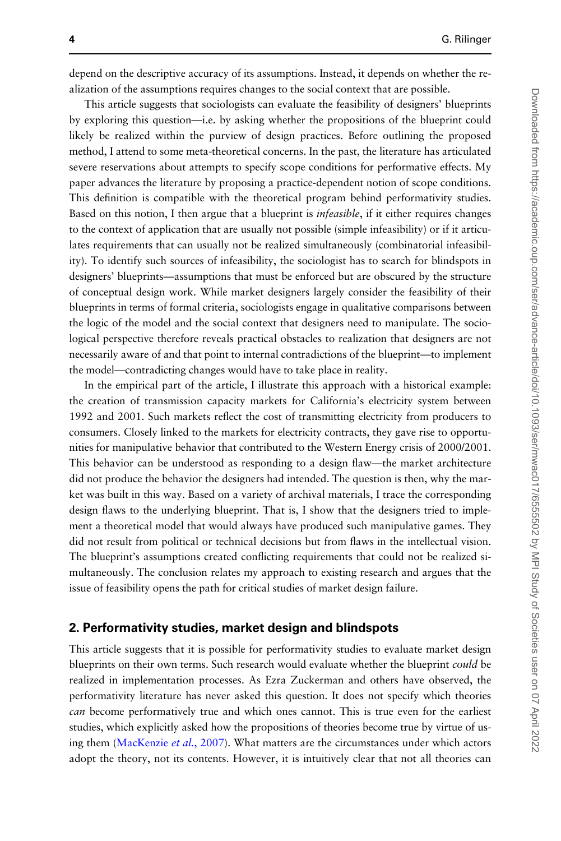depend on the descriptive accuracy of its assumptions. Instead, it depends on whether the realization of the assumptions requires changes to the social context that are possible.

This article suggests that sociologists can evaluate the feasibility of designers' blueprints by exploring this question—i.e. by asking whether the propositions of the blueprint could likely be realized within the purview of design practices. Before outlining the proposed method, I attend to some meta-theoretical concerns. In the past, the literature has articulated severe reservations about attempts to specify scope conditions for performative effects. My paper advances the literature by proposing a practice-dependent notion of scope conditions. This definition is compatible with the theoretical program behind performativity studies. Based on this notion, I then argue that a blueprint is infeasible, if it either requires changes to the context of application that are usually not possible (simple infeasibility) or if it articulates requirements that can usually not be realized simultaneously (combinatorial infeasibility). To identify such sources of infeasibility, the sociologist has to search for blindspots in designers' blueprints—assumptions that must be enforced but are obscured by the structure of conceptual design work. While market designers largely consider the feasibility of their blueprints in terms of formal criteria, sociologists engage in qualitative comparisons between the logic of the model and the social context that designers need to manipulate. The sociological perspective therefore reveals practical obstacles to realization that designers are not necessarily aware of and that point to internal contradictions of the blueprint—to implement the model—contradicting changes would have to take place in reality.

In the empirical part of the article, I illustrate this approach with a historical example: the creation of transmission capacity markets for California's electricity system between 1992 and 2001. Such markets reflect the cost of transmitting electricity from producers to consumers. Closely linked to the markets for electricity contracts, they gave rise to opportunities for manipulative behavior that contributed to the Western Energy crisis of 2000/2001. This behavior can be understood as responding to a design flaw—the market architecture did not produce the behavior the designers had intended. The question is then, why the market was built in this way. Based on a variety of archival materials, I trace the corresponding design flaws to the underlying blueprint. That is, I show that the designers tried to implement a theoretical model that would always have produced such manipulative games. They did not result from political or technical decisions but from flaws in the intellectual vision. The blueprint's assumptions created conflicting requirements that could not be realized simultaneously. The conclusion relates my approach to existing research and argues that the issue of feasibility opens the path for critical studies of market design failure.

#### 2. Performativity studies, market design and blindspots

This article suggests that it is possible for performativity studies to evaluate market design blueprints on their own terms. Such research would evaluate whether the blueprint could be realized in implementation processes. As Ezra Zuckerman and others have observed, the performativity literature has never asked this question. It does not specify which theories can become performatively true and which ones cannot. This is true even for the earliest studies, which explicitly asked how the propositions of theories become true by virtue of us-ing them ([MacKenzie](#page-21-0) et al., 2007). What matters are the circumstances under which actors adopt the theory, not its contents. However, it is intuitively clear that not all theories can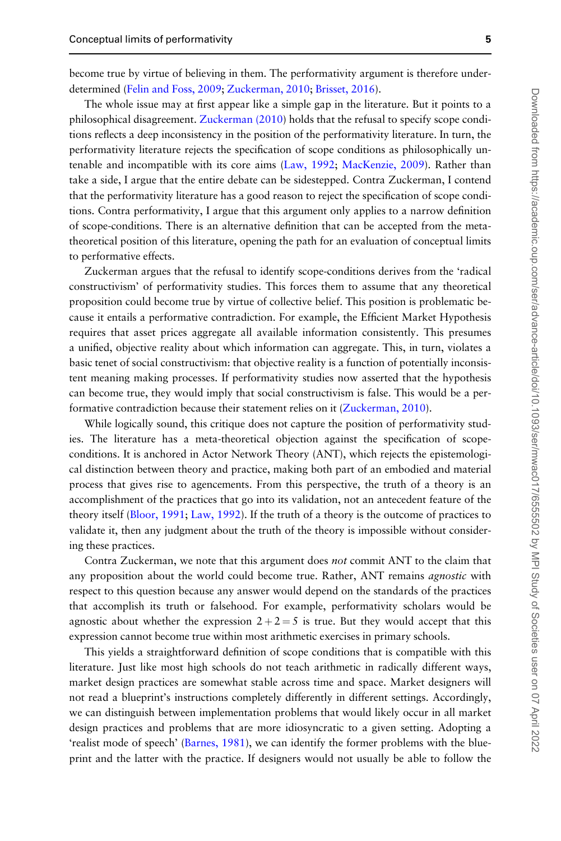become true by virtue of believing in them. The performativity argument is therefore underdetermined [\(Felin and Foss, 2009;](#page-20-0) [Zuckerman, 2010](#page-23-0); [Brisset, 2016\)](#page-20-0).

The whole issue may at first appear like a simple gap in the literature. But it points to a philosophical disagreement. [Zuckerman \(2010](#page-23-0)) holds that the refusal to specify scope conditions reflects a deep inconsistency in the position of the performativity literature. In turn, the performativity literature rejects the specification of scope conditions as philosophically untenable and incompatible with its core aims ([Law, 1992](#page-21-0); [MacKenzie, 2009\)](#page-21-0). Rather than take a side, I argue that the entire debate can be sidestepped. Contra Zuckerman, I contend that the performativity literature has a good reason to reject the specification of scope conditions. Contra performativity, I argue that this argument only applies to a narrow definition of scope-conditions. There is an alternative definition that can be accepted from the metatheoretical position of this literature, opening the path for an evaluation of conceptual limits to performative effects.

Zuckerman argues that the refusal to identify scope-conditions derives from the 'radical constructivism' of performativity studies. This forces them to assume that any theoretical proposition could become true by virtue of collective belief. This position is problematic because it entails a performative contradiction. For example, the Efficient Market Hypothesis requires that asset prices aggregate all available information consistently. This presumes a unified, objective reality about which information can aggregate. This, in turn, violates a basic tenet of social constructivism: that objective reality is a function of potentially inconsistent meaning making processes. If performativity studies now asserted that the hypothesis can become true, they would imply that social constructivism is false. This would be a per-formative contradiction because their statement relies on it [\(Zuckerman, 2010\)](#page-23-0).

While logically sound, this critique does not capture the position of performativity studies. The literature has a meta-theoretical objection against the specification of scopeconditions. It is anchored in Actor Network Theory (ANT), which rejects the epistemological distinction between theory and practice, making both part of an embodied and material process that gives rise to agencements. From this perspective, the truth of a theory is an accomplishment of the practices that go into its validation, not an antecedent feature of the theory itself ([Bloor, 1991;](#page-20-0) [Law, 1992\)](#page-21-0). If the truth of a theory is the outcome of practices to validate it, then any judgment about the truth of the theory is impossible without considering these practices.

Contra Zuckerman, we note that this argument does not commit ANT to the claim that any proposition about the world could become true. Rather, ANT remains *agnostic* with respect to this question because any answer would depend on the standards of the practices that accomplish its truth or falsehood. For example, performativity scholars would be agnostic about whether the expression  $2+2=5$  is true. But they would accept that this expression cannot become true within most arithmetic exercises in primary schools.

This yields a straightforward definition of scope conditions that is compatible with this literature. Just like most high schools do not teach arithmetic in radically different ways, market design practices are somewhat stable across time and space. Market designers will not read a blueprint's instructions completely differently in different settings. Accordingly, we can distinguish between implementation problems that would likely occur in all market design practices and problems that are more idiosyncratic to a given setting. Adopting a 'realist mode of speech' ([Barnes, 1981\)](#page-20-0), we can identify the former problems with the blueprint and the latter with the practice. If designers would not usually be able to follow the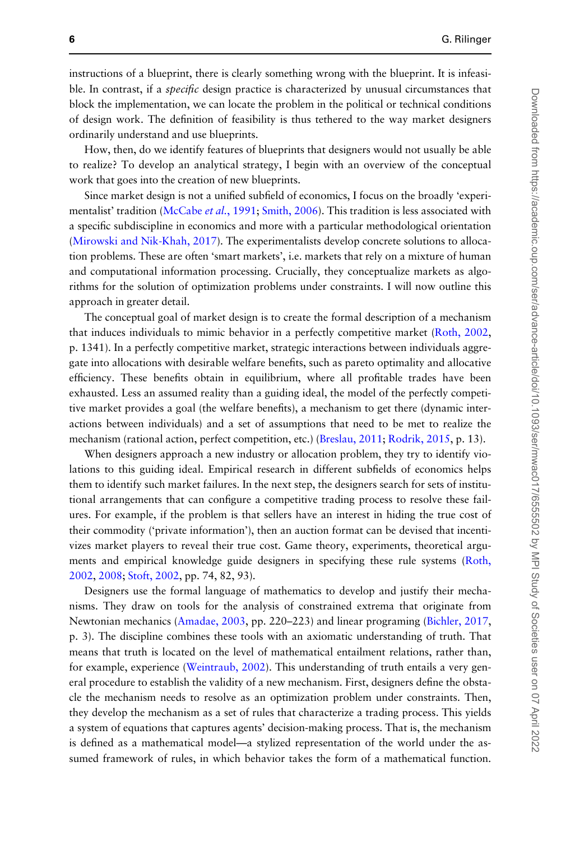instructions of a blueprint, there is clearly something wrong with the blueprint. It is infeasible. In contrast, if a *specific* design practice is characterized by unusual circumstances that block the implementation, we can locate the problem in the political or technical conditions of design work. The definition of feasibility is thus tethered to the way market designers ordinarily understand and use blueprints.

How, then, do we identify features of blueprints that designers would not usually be able to realize? To develop an analytical strategy, I begin with an overview of the conceptual work that goes into the creation of new blueprints.

Since market design is not a unified subfield of economics, I focus on the broadly 'experi-mentalist' tradition ([McCabe](#page-21-0) et al., 1991; [Smith, 2006\)](#page-22-0). This tradition is less associated with a specific subdiscipline in economics and more with a particular methodological orientation [\(Mirowski and Nik-Khah, 2017](#page-22-0)). The experimentalists develop concrete solutions to allocation problems. These are often 'smart markets', i.e. markets that rely on a mixture of human and computational information processing. Crucially, they conceptualize markets as algorithms for the solution of optimization problems under constraints. I will now outline this approach in greater detail.

The conceptual goal of market design is to create the formal description of a mechanism that induces individuals to mimic behavior in a perfectly competitive market [\(Roth, 2002](#page-22-0), p. 1341). In a perfectly competitive market, strategic interactions between individuals aggregate into allocations with desirable welfare benefits, such as pareto optimality and allocative efficiency. These benefits obtain in equilibrium, where all profitable trades have been exhausted. Less an assumed reality than a guiding ideal, the model of the perfectly competitive market provides a goal (the welfare benefits), a mechanism to get there (dynamic interactions between individuals) and a set of assumptions that need to be met to realize the mechanism (rational action, perfect competition, etc.) [\(Breslau, 2011;](#page-20-0) [Rodrik, 2015](#page-22-0), p. 13).

When designers approach a new industry or allocation problem, they try to identify violations to this guiding ideal. Empirical research in different subfields of economics helps them to identify such market failures. In the next step, the designers search for sets of institutional arrangements that can configure a competitive trading process to resolve these failures. For example, if the problem is that sellers have an interest in hiding the true cost of their commodity ('private information'), then an auction format can be devised that incentivizes market players to reveal their true cost. Game theory, experiments, theoretical arguments and empirical knowledge guide designers in specifying these rule systems [\(Roth,](#page-22-0) [2002](#page-22-0), [2008;](#page-22-0) [Stoft, 2002](#page-22-0), pp. 74, 82, 93).

Designers use the formal language of mathematics to develop and justify their mechanisms. They draw on tools for the analysis of constrained extrema that originate from Newtonian mechanics [\(Amadae, 2003,](#page-20-0) pp. 220–223) and linear programing ([Bichler, 2017](#page-20-0), p. 3). The discipline combines these tools with an axiomatic understanding of truth. That means that truth is located on the level of mathematical entailment relations, rather than, for example, experience ([Weintraub, 2002](#page-22-0)). This understanding of truth entails a very general procedure to establish the validity of a new mechanism. First, designers define the obstacle the mechanism needs to resolve as an optimization problem under constraints. Then, they develop the mechanism as a set of rules that characterize a trading process. This yields a system of equations that captures agents' decision-making process. That is, the mechanism is defined as a mathematical model—a stylized representation of the world under the assumed framework of rules, in which behavior takes the form of a mathematical function.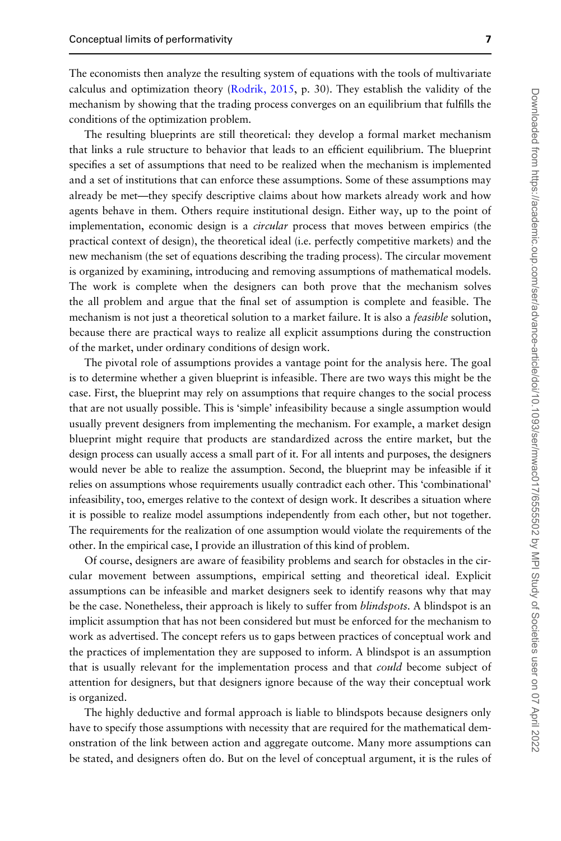The economists then analyze the resulting system of equations with the tools of multivariate calculus and optimization theory [\(Rodrik, 2015](#page-22-0), p. 30). They establish the validity of the mechanism by showing that the trading process converges on an equilibrium that fulfills the conditions of the optimization problem.

The resulting blueprints are still theoretical: they develop a formal market mechanism that links a rule structure to behavior that leads to an efficient equilibrium. The blueprint specifies a set of assumptions that need to be realized when the mechanism is implemented and a set of institutions that can enforce these assumptions. Some of these assumptions may already be met—they specify descriptive claims about how markets already work and how agents behave in them. Others require institutional design. Either way, up to the point of implementation, economic design is a *circular* process that moves between empirics (the practical context of design), the theoretical ideal (i.e. perfectly competitive markets) and the new mechanism (the set of equations describing the trading process). The circular movement is organized by examining, introducing and removing assumptions of mathematical models. The work is complete when the designers can both prove that the mechanism solves the all problem and argue that the final set of assumption is complete and feasible. The mechanism is not just a theoretical solution to a market failure. It is also a *feasible* solution, because there are practical ways to realize all explicit assumptions during the construction of the market, under ordinary conditions of design work.

The pivotal role of assumptions provides a vantage point for the analysis here. The goal is to determine whether a given blueprint is infeasible. There are two ways this might be the case. First, the blueprint may rely on assumptions that require changes to the social process that are not usually possible. This is 'simple' infeasibility because a single assumption would usually prevent designers from implementing the mechanism. For example, a market design blueprint might require that products are standardized across the entire market, but the design process can usually access a small part of it. For all intents and purposes, the designers would never be able to realize the assumption. Second, the blueprint may be infeasible if it relies on assumptions whose requirements usually contradict each other. This 'combinational' infeasibility, too, emerges relative to the context of design work. It describes a situation where it is possible to realize model assumptions independently from each other, but not together. The requirements for the realization of one assumption would violate the requirements of the other. In the empirical case, I provide an illustration of this kind of problem.

Of course, designers are aware of feasibility problems and search for obstacles in the circular movement between assumptions, empirical setting and theoretical ideal. Explicit assumptions can be infeasible and market designers seek to identify reasons why that may be the case. Nonetheless, their approach is likely to suffer from *blindspots*. A blindspot is an implicit assumption that has not been considered but must be enforced for the mechanism to work as advertised. The concept refers us to gaps between practices of conceptual work and the practices of implementation they are supposed to inform. A blindspot is an assumption that is usually relevant for the implementation process and that *could* become subject of attention for designers, but that designers ignore because of the way their conceptual work is organized.

The highly deductive and formal approach is liable to blindspots because designers only have to specify those assumptions with necessity that are required for the mathematical demonstration of the link between action and aggregate outcome. Many more assumptions can be stated, and designers often do. But on the level of conceptual argument, it is the rules of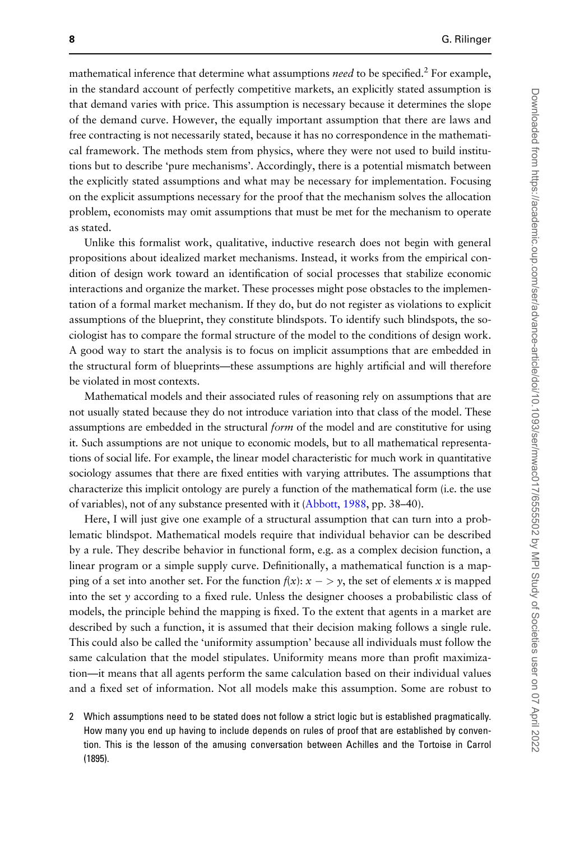mathematical inference that determine what assumptions *need* to be specified.<sup>2</sup> For example, in the standard account of perfectly competitive markets, an explicitly stated assumption is that demand varies with price. This assumption is necessary because it determines the slope of the demand curve. However, the equally important assumption that there are laws and free contracting is not necessarily stated, because it has no correspondence in the mathematical framework. The methods stem from physics, where they were not used to build institutions but to describe 'pure mechanisms'. Accordingly, there is a potential mismatch between the explicitly stated assumptions and what may be necessary for implementation. Focusing on the explicit assumptions necessary for the proof that the mechanism solves the allocation problem, economists may omit assumptions that must be met for the mechanism to operate as stated.

Unlike this formalist work, qualitative, inductive research does not begin with general propositions about idealized market mechanisms. Instead, it works from the empirical condition of design work toward an identification of social processes that stabilize economic interactions and organize the market. These processes might pose obstacles to the implementation of a formal market mechanism. If they do, but do not register as violations to explicit assumptions of the blueprint, they constitute blindspots. To identify such blindspots, the sociologist has to compare the formal structure of the model to the conditions of design work. A good way to start the analysis is to focus on implicit assumptions that are embedded in the structural form of blueprints—these assumptions are highly artificial and will therefore be violated in most contexts.

Mathematical models and their associated rules of reasoning rely on assumptions that are not usually stated because they do not introduce variation into that class of the model. These assumptions are embedded in the structural *form* of the model and are constitutive for using it. Such assumptions are not unique to economic models, but to all mathematical representations of social life. For example, the linear model characteristic for much work in quantitative sociology assumes that there are fixed entities with varying attributes. The assumptions that characterize this implicit ontology are purely a function of the mathematical form (i.e. the use of variables), not of any substance presented with it [\(Abbott, 1988,](#page-20-0) pp. 38–40).

Here, I will just give one example of a structural assumption that can turn into a problematic blindspot. Mathematical models require that individual behavior can be described by a rule. They describe behavior in functional form, e.g. as a complex decision function, a linear program or a simple supply curve. Definitionally, a mathematical function is a mapping of a set into another set. For the function  $f(x)$ :  $x - y$ , the set of elements x is mapped into the set  $y$  according to a fixed rule. Unless the designer chooses a probabilistic class of models, the principle behind the mapping is fixed. To the extent that agents in a market are described by such a function, it is assumed that their decision making follows a single rule. This could also be called the 'uniformity assumption' because all individuals must follow the same calculation that the model stipulates. Uniformity means more than profit maximization—it means that all agents perform the same calculation based on their individual values and a fixed set of information. Not all models make this assumption. Some are robust to

2 Which assumptions need to be stated does not follow a strict logic but is established pragmatically. How many you end up having to include depends on rules of proof that are established by convention. This is the lesson of the amusing conversation between Achilles and the Tortoise in Carrol (1895).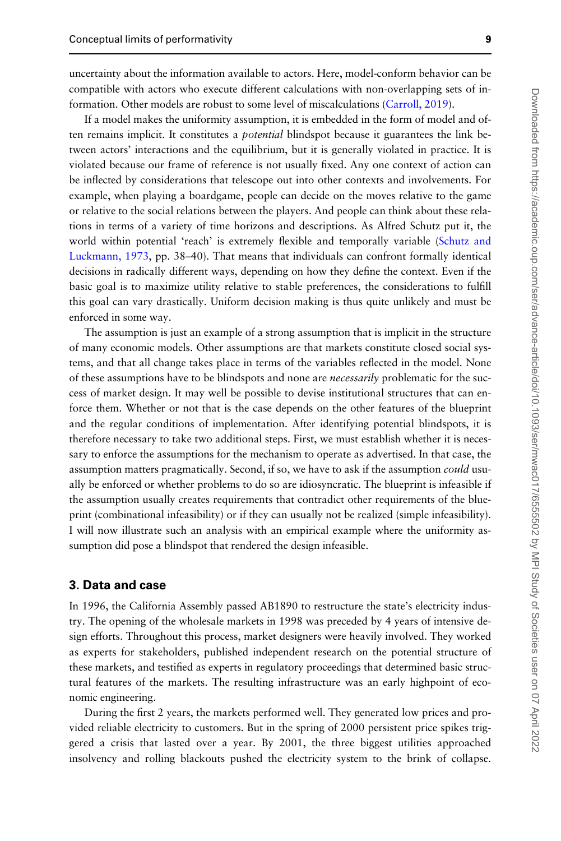uncertainty about the information available to actors. Here, model-conform behavior can be compatible with actors who execute different calculations with non-overlapping sets of information. Other models are robust to some level of miscalculations [\(Carroll, 2019\)](#page-20-0).

If a model makes the uniformity assumption, it is embedded in the form of model and often remains implicit. It constitutes a *potential* blindspot because it guarantees the link between actors' interactions and the equilibrium, but it is generally violated in practice. It is violated because our frame of reference is not usually fixed. Any one context of action can be inflected by considerations that telescope out into other contexts and involvements. For example, when playing a boardgame, people can decide on the moves relative to the game or relative to the social relations between the players. And people can think about these relations in terms of a variety of time horizons and descriptions. As Alfred Schutz put it, the world within potential 'reach' is extremely flexible and temporally variable [\(Schutz and](#page-22-0) [Luckmann, 1973](#page-22-0), pp. 38–40). That means that individuals can confront formally identical decisions in radically different ways, depending on how they define the context. Even if the basic goal is to maximize utility relative to stable preferences, the considerations to fulfill this goal can vary drastically. Uniform decision making is thus quite unlikely and must be enforced in some way.

The assumption is just an example of a strong assumption that is implicit in the structure of many economic models. Other assumptions are that markets constitute closed social systems, and that all change takes place in terms of the variables reflected in the model. None of these assumptions have to be blindspots and none are *necessarily* problematic for the success of market design. It may well be possible to devise institutional structures that can enforce them. Whether or not that is the case depends on the other features of the blueprint and the regular conditions of implementation. After identifying potential blindspots, it is therefore necessary to take two additional steps. First, we must establish whether it is necessary to enforce the assumptions for the mechanism to operate as advertised. In that case, the assumption matters pragmatically. Second, if so, we have to ask if the assumption *could* usually be enforced or whether problems to do so are idiosyncratic. The blueprint is infeasible if the assumption usually creates requirements that contradict other requirements of the blueprint (combinational infeasibility) or if they can usually not be realized (simple infeasibility). I will now illustrate such an analysis with an empirical example where the uniformity assumption did pose a blindspot that rendered the design infeasible.

#### 3. Data and case

In 1996, the California Assembly passed AB1890 to restructure the state's electricity industry. The opening of the wholesale markets in 1998 was preceded by 4 years of intensive design efforts. Throughout this process, market designers were heavily involved. They worked as experts for stakeholders, published independent research on the potential structure of these markets, and testified as experts in regulatory proceedings that determined basic structural features of the markets. The resulting infrastructure was an early highpoint of economic engineering.

During the first 2 years, the markets performed well. They generated low prices and provided reliable electricity to customers. But in the spring of 2000 persistent price spikes triggered a crisis that lasted over a year. By 2001, the three biggest utilities approached insolvency and rolling blackouts pushed the electricity system to the brink of collapse.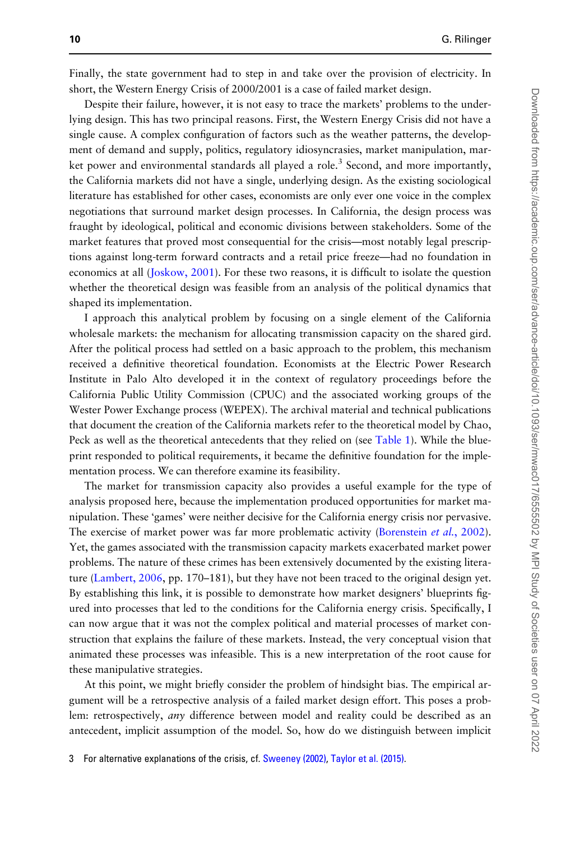Finally, the state government had to step in and take over the provision of electricity. In short, the Western Energy Crisis of 2000/2001 is a case of failed market design.

Despite their failure, however, it is not easy to trace the markets' problems to the underlying design. This has two principal reasons. First, the Western Energy Crisis did not have a single cause. A complex configuration of factors such as the weather patterns, the development of demand and supply, politics, regulatory idiosyncrasies, market manipulation, market power and environmental standards all played a role.<sup>3</sup> Second, and more importantly, the California markets did not have a single, underlying design. As the existing sociological literature has established for other cases, economists are only ever one voice in the complex negotiations that surround market design processes. In California, the design process was fraught by ideological, political and economic divisions between stakeholders. Some of the market features that proved most consequential for the crisis—most notably legal prescriptions against long-term forward contracts and a retail price freeze—had no foundation in economics at all ([Joskow, 2001](#page-21-0)). For these two reasons, it is difficult to isolate the question whether the theoretical design was feasible from an analysis of the political dynamics that shaped its implementation.

I approach this analytical problem by focusing on a single element of the California wholesale markets: the mechanism for allocating transmission capacity on the shared gird. After the political process had settled on a basic approach to the problem, this mechanism received a definitive theoretical foundation. Economists at the Electric Power Research Institute in Palo Alto developed it in the context of regulatory proceedings before the California Public Utility Commission (CPUC) and the associated working groups of the Wester Power Exchange process (WEPEX). The archival material and technical publications that document the creation of the California markets refer to the theoretical model by Chao, Peck as well as the theoretical antecedents that they relied on (see [Table 1](#page-10-0)). While the blueprint responded to political requirements, it became the definitive foundation for the implementation process. We can therefore examine its feasibility.

The market for transmission capacity also provides a useful example for the type of analysis proposed here, because the implementation produced opportunities for market manipulation. These 'games' were neither decisive for the California energy crisis nor pervasive. The exercise of market power was far more problematic activity ([Borenstein](#page-20-0) et al., 2002). Yet, the games associated with the transmission capacity markets exacerbated market power problems. The nature of these crimes has been extensively documented by the existing literature [\(Lambert, 2006](#page-21-0), pp. 170–181), but they have not been traced to the original design yet. By establishing this link, it is possible to demonstrate how market designers' blueprints figured into processes that led to the conditions for the California energy crisis. Specifically, I can now argue that it was not the complex political and material processes of market construction that explains the failure of these markets. Instead, the very conceptual vision that animated these processes was infeasible. This is a new interpretation of the root cause for these manipulative strategies.

At this point, we might briefly consider the problem of hindsight bias. The empirical argument will be a retrospective analysis of a failed market design effort. This poses a problem: retrospectively, *any* difference between model and reality could be described as an antecedent, implicit assumption of the model. So, how do we distinguish between implicit

3 For alternative explanations of the crisis, cf. [Sweeney \(2002\)](#page-22-0), [Taylor et al. \(2015\).](#page-22-0)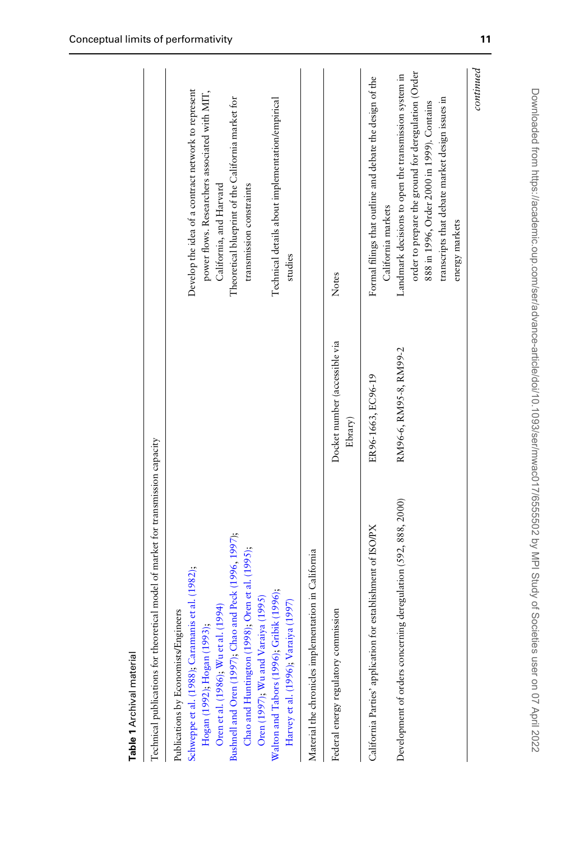<span id="page-10-0"></span>

| Technical publications for theoretical model of market for transmission capacity                                                                                                                                                                                            |                                          |                                                                                                                                                                                                                                 |
|-----------------------------------------------------------------------------------------------------------------------------------------------------------------------------------------------------------------------------------------------------------------------------|------------------------------------------|---------------------------------------------------------------------------------------------------------------------------------------------------------------------------------------------------------------------------------|
| Bushnell and Oren (1997); Chao and Peck (1996, 1997);<br>Chao and Huntington (1998); Oren et al. (1995);<br>Schweppe et al. (1988); Caramanis et al. (1982);<br>Oren et al. (1986); Wu et al. (1994)<br>Publications by Economists/Engineers<br>Hogan (1992), Hogan (1993); |                                          | Develop the idea of a contract network to represent<br>power flows. Researchers associated with MIT,<br>Theoretical blueprint of the California market for<br>California, and Harvard<br>transmission constraints               |
| Walton and Tabors (1996); Gribik (1996);<br>Oren (1997); Wu and Varaiya (1995)<br>Harvey et al. (1996); Varaiya (1997)                                                                                                                                                      |                                          | Technical details about implementation/empirical<br>studies                                                                                                                                                                     |
| Material the chronicles implementation in California                                                                                                                                                                                                                        |                                          |                                                                                                                                                                                                                                 |
| Federal energy regulatory commission                                                                                                                                                                                                                                        | Docket number (accessible via<br>Ebrary) | Notes                                                                                                                                                                                                                           |
| California Parties' application for establishment of ISO/PX                                                                                                                                                                                                                 | ER96-1663, EC96-19                       | Formal filings that outline and debate the design of the<br>California markets                                                                                                                                                  |
| Development of orders concerning deregulation (592, 888, 2000)                                                                                                                                                                                                              | RM96-6, RM95-8, RM99-2                   | order to prepare the ground for deregulation (Order<br>Landmark decisions to open the transmission system in<br>transcripts that debate market design issues in<br>888 in 1996, Order 2000 in 1999). Contains<br>energy markets |
|                                                                                                                                                                                                                                                                             |                                          | continued                                                                                                                                                                                                                       |

Table 1 Archival material Table 1 Archival material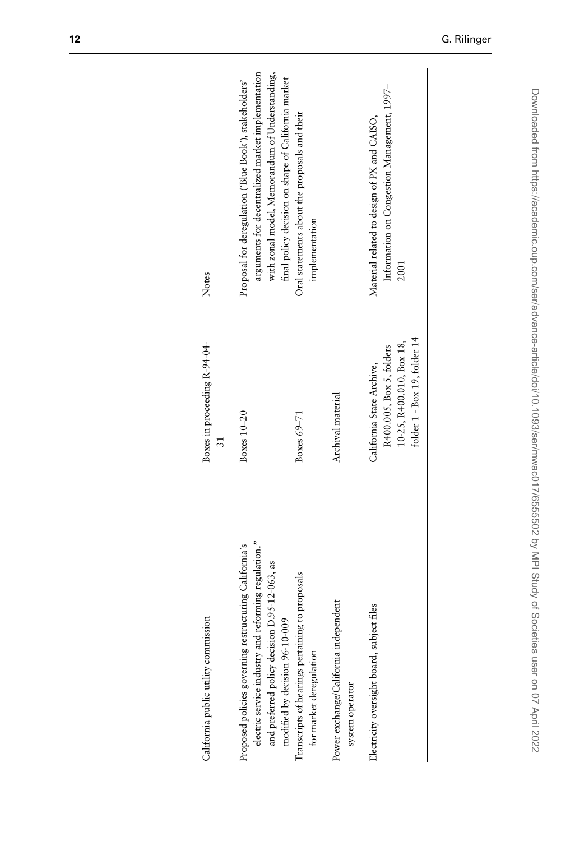| California public utility commission                                                                                                                                                              | Boxes in proceeding R-94-04-<br>ಸ                                                                                 | Notes                                                                                                                                                                                                                |
|---------------------------------------------------------------------------------------------------------------------------------------------------------------------------------------------------|-------------------------------------------------------------------------------------------------------------------|----------------------------------------------------------------------------------------------------------------------------------------------------------------------------------------------------------------------|
| electric service industry and reforming regulation."<br>Proposed policies governing restructuring California's<br>and preferred policy decision D.95-12-063, as<br>modified by decision 96-10-009 | Boxes 10-20                                                                                                       | arguments for decentralized market implementation<br>with zonal model, Memorandum of Understanding,<br>final policy decision on shape of California market<br>Proposal for deregulation ('Blue Book'), stakeholders' |
| Transcripts of hearings pertaining to proposals<br>for market deregulation                                                                                                                        | Boxes $69-71$                                                                                                     | Oral statements about the proposals and their<br>implementation                                                                                                                                                      |
| Power exchange/California independent<br>system operator                                                                                                                                          | Archival material                                                                                                 |                                                                                                                                                                                                                      |
| Electricity oversight board, subject files                                                                                                                                                        | folder 1 - Box 19, folder 14<br>10-25, R400.010, Box 18,<br>R400.005, Box 5, folders<br>California State Archive, | Information on Congestion Management, 1997-<br>Material related to design of PX and CAISO,<br>2001                                                                                                                   |
|                                                                                                                                                                                                   |                                                                                                                   |                                                                                                                                                                                                                      |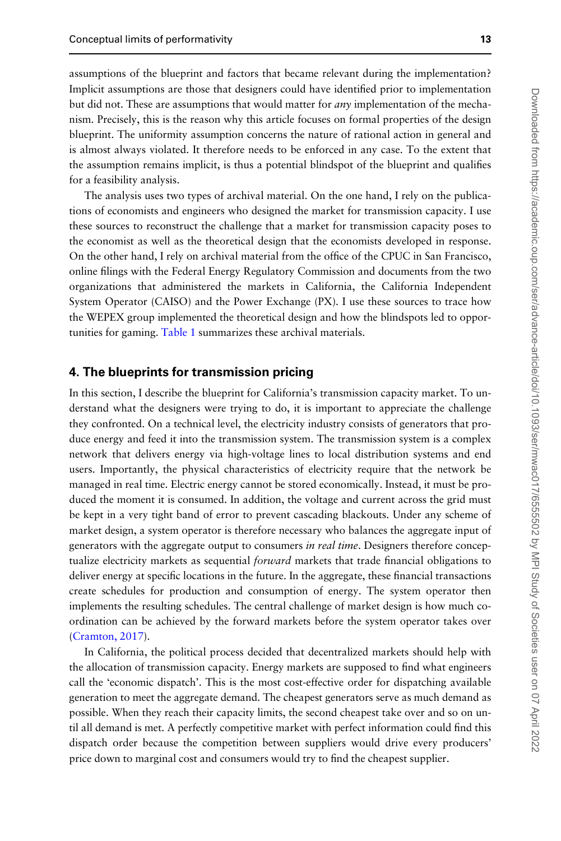assumptions of the blueprint and factors that became relevant during the implementation? Implicit assumptions are those that designers could have identified prior to implementation but did not. These are assumptions that would matter for *any* implementation of the mechanism. Precisely, this is the reason why this article focuses on formal properties of the design blueprint. The uniformity assumption concerns the nature of rational action in general and is almost always violated. It therefore needs to be enforced in any case. To the extent that the assumption remains implicit, is thus a potential blindspot of the blueprint and qualifies for a feasibility analysis.

The analysis uses two types of archival material. On the one hand, I rely on the publications of economists and engineers who designed the market for transmission capacity. I use these sources to reconstruct the challenge that a market for transmission capacity poses to the economist as well as the theoretical design that the economists developed in response. On the other hand, I rely on archival material from the office of the CPUC in San Francisco, online filings with the Federal Energy Regulatory Commission and documents from the two organizations that administered the markets in California, the California Independent System Operator (CAISO) and the Power Exchange (PX). I use these sources to trace how the WEPEX group implemented the theoretical design and how the blindspots led to oppor-tunities for gaming. [Table 1](#page-10-0) summarizes these archival materials.

### 4. The blueprints for transmission pricing

In this section, I describe the blueprint for California's transmission capacity market. To understand what the designers were trying to do, it is important to appreciate the challenge they confronted. On a technical level, the electricity industry consists of generators that produce energy and feed it into the transmission system. The transmission system is a complex network that delivers energy via high-voltage lines to local distribution systems and end users. Importantly, the physical characteristics of electricity require that the network be managed in real time. Electric energy cannot be stored economically. Instead, it must be produced the moment it is consumed. In addition, the voltage and current across the grid must be kept in a very tight band of error to prevent cascading blackouts. Under any scheme of market design, a system operator is therefore necessary who balances the aggregate input of generators with the aggregate output to consumers in real time. Designers therefore conceptualize electricity markets as sequential *forward* markets that trade financial obligations to deliver energy at specific locations in the future. In the aggregate, these financial transactions create schedules for production and consumption of energy. The system operator then implements the resulting schedules. The central challenge of market design is how much coordination can be achieved by the forward markets before the system operator takes over [\(Cramton, 2017](#page-20-0)).

In California, the political process decided that decentralized markets should help with the allocation of transmission capacity. Energy markets are supposed to find what engineers call the 'economic dispatch'. This is the most cost-effective order for dispatching available generation to meet the aggregate demand. The cheapest generators serve as much demand as possible. When they reach their capacity limits, the second cheapest take over and so on until all demand is met. A perfectly competitive market with perfect information could find this dispatch order because the competition between suppliers would drive every producers' price down to marginal cost and consumers would try to find the cheapest supplier.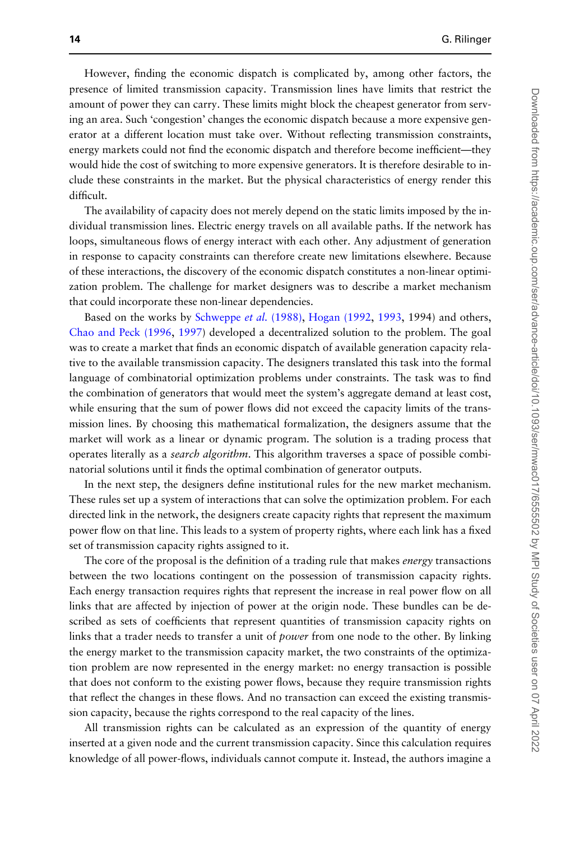However, finding the economic dispatch is complicated by, among other factors, the presence of limited transmission capacity. Transmission lines have limits that restrict the amount of power they can carry. These limits might block the cheapest generator from serving an area. Such 'congestion' changes the economic dispatch because a more expensive generator at a different location must take over. Without reflecting transmission constraints, energy markets could not find the economic dispatch and therefore become inefficient—they would hide the cost of switching to more expensive generators. It is therefore desirable to include these constraints in the market. But the physical characteristics of energy render this difficult.

The availability of capacity does not merely depend on the static limits imposed by the individual transmission lines. Electric energy travels on all available paths. If the network has loops, simultaneous flows of energy interact with each other. Any adjustment of generation in response to capacity constraints can therefore create new limitations elsewhere. Because of these interactions, the discovery of the economic dispatch constitutes a non-linear optimization problem. The challenge for market designers was to describe a market mechanism that could incorporate these non-linear dependencies.

Based on the works by [Schweppe](#page-22-0) et al. (1988), [Hogan \(1992,](#page-21-0) [1993,](#page-21-0) 1994) and others, [Chao and Peck \(1996](#page-20-0), [1997](#page-20-0)) developed a decentralized solution to the problem. The goal was to create a market that finds an economic dispatch of available generation capacity relative to the available transmission capacity. The designers translated this task into the formal language of combinatorial optimization problems under constraints. The task was to find the combination of generators that would meet the system's aggregate demand at least cost, while ensuring that the sum of power flows did not exceed the capacity limits of the transmission lines. By choosing this mathematical formalization, the designers assume that the market will work as a linear or dynamic program. The solution is a trading process that operates literally as a *search algorithm*. This algorithm traverses a space of possible combinatorial solutions until it finds the optimal combination of generator outputs.

In the next step, the designers define institutional rules for the new market mechanism. These rules set up a system of interactions that can solve the optimization problem. For each directed link in the network, the designers create capacity rights that represent the maximum power flow on that line. This leads to a system of property rights, where each link has a fixed set of transmission capacity rights assigned to it.

The core of the proposal is the definition of a trading rule that makes energy transactions between the two locations contingent on the possession of transmission capacity rights. Each energy transaction requires rights that represent the increase in real power flow on all links that are affected by injection of power at the origin node. These bundles can be described as sets of coefficients that represent quantities of transmission capacity rights on links that a trader needs to transfer a unit of power from one node to the other. By linking the energy market to the transmission capacity market, the two constraints of the optimization problem are now represented in the energy market: no energy transaction is possible that does not conform to the existing power flows, because they require transmission rights that reflect the changes in these flows. And no transaction can exceed the existing transmission capacity, because the rights correspond to the real capacity of the lines.

All transmission rights can be calculated as an expression of the quantity of energy inserted at a given node and the current transmission capacity. Since this calculation requires knowledge of all power-flows, individuals cannot compute it. Instead, the authors imagine a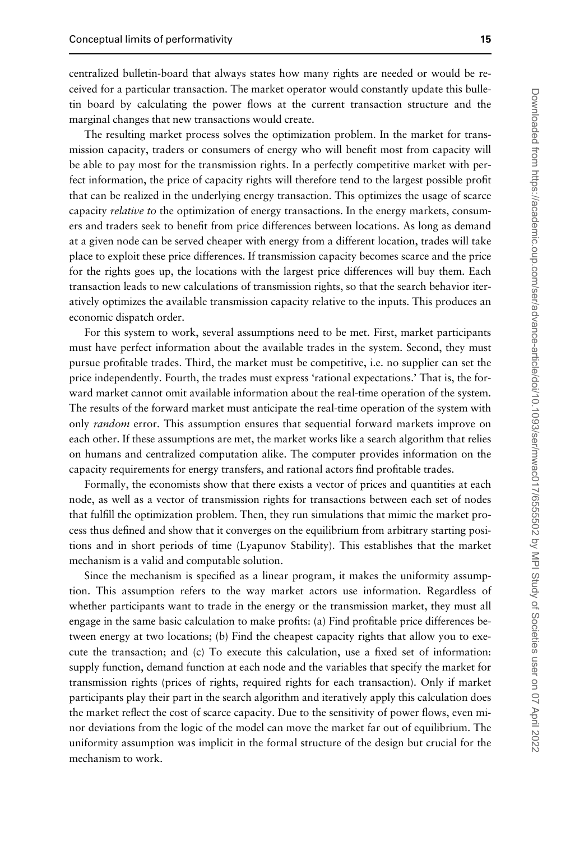centralized bulletin-board that always states how many rights are needed or would be received for a particular transaction. The market operator would constantly update this bulletin board by calculating the power flows at the current transaction structure and the marginal changes that new transactions would create.

The resulting market process solves the optimization problem. In the market for transmission capacity, traders or consumers of energy who will benefit most from capacity will be able to pay most for the transmission rights. In a perfectly competitive market with perfect information, the price of capacity rights will therefore tend to the largest possible profit that can be realized in the underlying energy transaction. This optimizes the usage of scarce capacity relative to the optimization of energy transactions. In the energy markets, consumers and traders seek to benefit from price differences between locations. As long as demand at a given node can be served cheaper with energy from a different location, trades will take place to exploit these price differences. If transmission capacity becomes scarce and the price for the rights goes up, the locations with the largest price differences will buy them. Each transaction leads to new calculations of transmission rights, so that the search behavior iteratively optimizes the available transmission capacity relative to the inputs. This produces an economic dispatch order.

For this system to work, several assumptions need to be met. First, market participants must have perfect information about the available trades in the system. Second, they must pursue profitable trades. Third, the market must be competitive, i.e. no supplier can set the price independently. Fourth, the trades must express 'rational expectations.' That is, the forward market cannot omit available information about the real-time operation of the system. The results of the forward market must anticipate the real-time operation of the system with only random error. This assumption ensures that sequential forward markets improve on each other. If these assumptions are met, the market works like a search algorithm that relies on humans and centralized computation alike. The computer provides information on the capacity requirements for energy transfers, and rational actors find profitable trades.

Formally, the economists show that there exists a vector of prices and quantities at each node, as well as a vector of transmission rights for transactions between each set of nodes that fulfill the optimization problem. Then, they run simulations that mimic the market process thus defined and show that it converges on the equilibrium from arbitrary starting positions and in short periods of time (Lyapunov Stability). This establishes that the market mechanism is a valid and computable solution.

Since the mechanism is specified as a linear program, it makes the uniformity assumption. This assumption refers to the way market actors use information. Regardless of whether participants want to trade in the energy or the transmission market, they must all engage in the same basic calculation to make profits: (a) Find profitable price differences between energy at two locations; (b) Find the cheapest capacity rights that allow you to execute the transaction; and (c) To execute this calculation, use a fixed set of information: supply function, demand function at each node and the variables that specify the market for transmission rights (prices of rights, required rights for each transaction). Only if market participants play their part in the search algorithm and iteratively apply this calculation does the market reflect the cost of scarce capacity. Due to the sensitivity of power flows, even minor deviations from the logic of the model can move the market far out of equilibrium. The uniformity assumption was implicit in the formal structure of the design but crucial for the mechanism to work.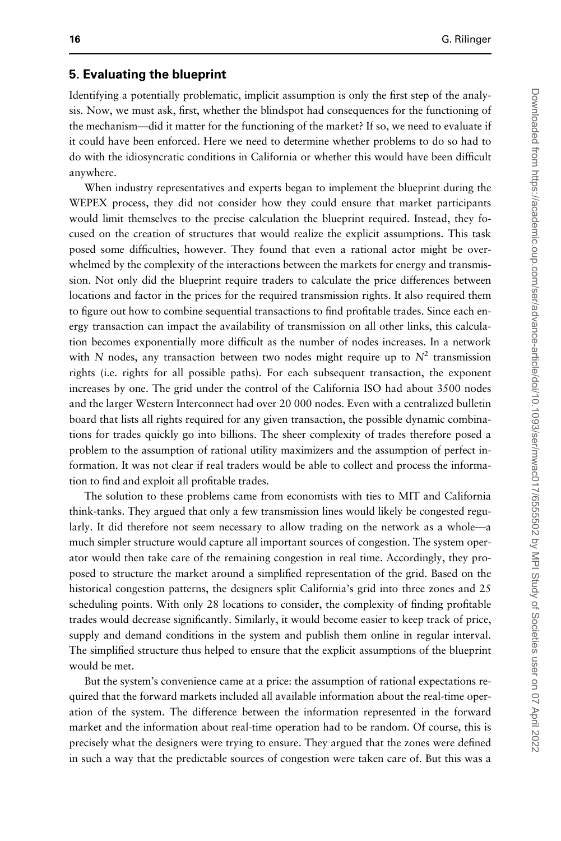#### 5. Evaluating the blueprint

Identifying a potentially problematic, implicit assumption is only the first step of the analysis. Now, we must ask, first, whether the blindspot had consequences for the functioning of the mechanism—did it matter for the functioning of the market? If so, we need to evaluate if it could have been enforced. Here we need to determine whether problems to do so had to do with the idiosyncratic conditions in California or whether this would have been difficult anywhere.

When industry representatives and experts began to implement the blueprint during the WEPEX process, they did not consider how they could ensure that market participants would limit themselves to the precise calculation the blueprint required. Instead, they focused on the creation of structures that would realize the explicit assumptions. This task posed some difficulties, however. They found that even a rational actor might be overwhelmed by the complexity of the interactions between the markets for energy and transmission. Not only did the blueprint require traders to calculate the price differences between locations and factor in the prices for the required transmission rights. It also required them to figure out how to combine sequential transactions to find profitable trades. Since each energy transaction can impact the availability of transmission on all other links, this calculation becomes exponentially more difficult as the number of nodes increases. In a network with N nodes, any transaction between two nodes might require up to  $N^2$  transmission rights (i.e. rights for all possible paths). For each subsequent transaction, the exponent increases by one. The grid under the control of the California ISO had about 3500 nodes and the larger Western Interconnect had over 20 000 nodes. Even with a centralized bulletin board that lists all rights required for any given transaction, the possible dynamic combinations for trades quickly go into billions. The sheer complexity of trades therefore posed a problem to the assumption of rational utility maximizers and the assumption of perfect information. It was not clear if real traders would be able to collect and process the information to find and exploit all profitable trades.

The solution to these problems came from economists with ties to MIT and California think-tanks. They argued that only a few transmission lines would likely be congested regularly. It did therefore not seem necessary to allow trading on the network as a whole—a much simpler structure would capture all important sources of congestion. The system operator would then take care of the remaining congestion in real time. Accordingly, they proposed to structure the market around a simplified representation of the grid. Based on the historical congestion patterns, the designers split California's grid into three zones and 25 scheduling points. With only 28 locations to consider, the complexity of finding profitable trades would decrease significantly. Similarly, it would become easier to keep track of price, supply and demand conditions in the system and publish them online in regular interval. The simplified structure thus helped to ensure that the explicit assumptions of the blueprint would be met.

But the system's convenience came at a price: the assumption of rational expectations required that the forward markets included all available information about the real-time operation of the system. The difference between the information represented in the forward market and the information about real-time operation had to be random. Of course, this is precisely what the designers were trying to ensure. They argued that the zones were defined in such a way that the predictable sources of congestion were taken care of. But this was a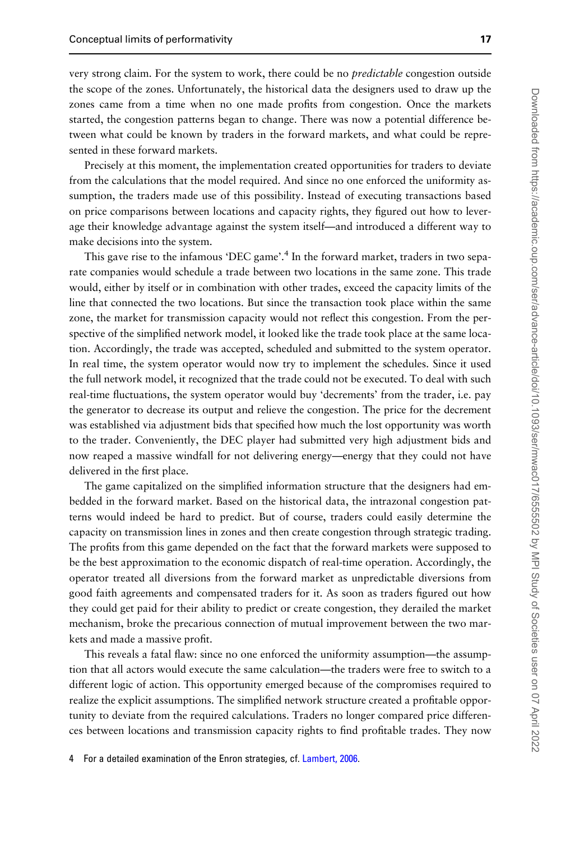very strong claim. For the system to work, there could be no *predictable* congestion outside the scope of the zones. Unfortunately, the historical data the designers used to draw up the zones came from a time when no one made profits from congestion. Once the markets started, the congestion patterns began to change. There was now a potential difference between what could be known by traders in the forward markets, and what could be represented in these forward markets.

Precisely at this moment, the implementation created opportunities for traders to deviate from the calculations that the model required. And since no one enforced the uniformity assumption, the traders made use of this possibility. Instead of executing transactions based on price comparisons between locations and capacity rights, they figured out how to leverage their knowledge advantage against the system itself—and introduced a different way to make decisions into the system.

This gave rise to the infamous 'DEC game'.<sup>4</sup> In the forward market, traders in two separate companies would schedule a trade between two locations in the same zone. This trade would, either by itself or in combination with other trades, exceed the capacity limits of the line that connected the two locations. But since the transaction took place within the same zone, the market for transmission capacity would not reflect this congestion. From the perspective of the simplified network model, it looked like the trade took place at the same location. Accordingly, the trade was accepted, scheduled and submitted to the system operator. In real time, the system operator would now try to implement the schedules. Since it used the full network model, it recognized that the trade could not be executed. To deal with such real-time fluctuations, the system operator would buy 'decrements' from the trader, i.e. pay the generator to decrease its output and relieve the congestion. The price for the decrement was established via adjustment bids that specified how much the lost opportunity was worth to the trader. Conveniently, the DEC player had submitted very high adjustment bids and now reaped a massive windfall for not delivering energy—energy that they could not have delivered in the first place.

The game capitalized on the simplified information structure that the designers had embedded in the forward market. Based on the historical data, the intrazonal congestion patterns would indeed be hard to predict. But of course, traders could easily determine the capacity on transmission lines in zones and then create congestion through strategic trading. The profits from this game depended on the fact that the forward markets were supposed to be the best approximation to the economic dispatch of real-time operation. Accordingly, the operator treated all diversions from the forward market as unpredictable diversions from good faith agreements and compensated traders for it. As soon as traders figured out how they could get paid for their ability to predict or create congestion, they derailed the market mechanism, broke the precarious connection of mutual improvement between the two markets and made a massive profit.

This reveals a fatal flaw: since no one enforced the uniformity assumption—the assumption that all actors would execute the same calculation—the traders were free to switch to a different logic of action. This opportunity emerged because of the compromises required to realize the explicit assumptions. The simplified network structure created a profitable opportunity to deviate from the required calculations. Traders no longer compared price differences between locations and transmission capacity rights to find profitable trades. They now

4 For a detailed examination of the Enron strategies, cf. [Lambert, 2006](#page-21-0).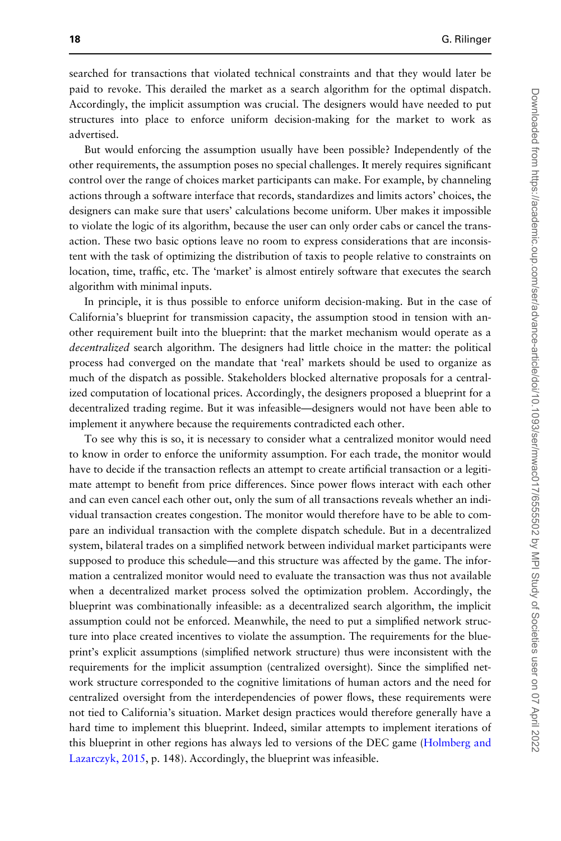searched for transactions that violated technical constraints and that they would later be paid to revoke. This derailed the market as a search algorithm for the optimal dispatch. Accordingly, the implicit assumption was crucial. The designers would have needed to put structures into place to enforce uniform decision-making for the market to work as advertised.

But would enforcing the assumption usually have been possible? Independently of the other requirements, the assumption poses no special challenges. It merely requires significant control over the range of choices market participants can make. For example, by channeling actions through a software interface that records, standardizes and limits actors' choices, the designers can make sure that users' calculations become uniform. Uber makes it impossible to violate the logic of its algorithm, because the user can only order cabs or cancel the transaction. These two basic options leave no room to express considerations that are inconsistent with the task of optimizing the distribution of taxis to people relative to constraints on location, time, traffic, etc. The 'market' is almost entirely software that executes the search algorithm with minimal inputs.

In principle, it is thus possible to enforce uniform decision-making. But in the case of California's blueprint for transmission capacity, the assumption stood in tension with another requirement built into the blueprint: that the market mechanism would operate as a decentralized search algorithm. The designers had little choice in the matter: the political process had converged on the mandate that 'real' markets should be used to organize as much of the dispatch as possible. Stakeholders blocked alternative proposals for a centralized computation of locational prices. Accordingly, the designers proposed a blueprint for a decentralized trading regime. But it was infeasible—designers would not have been able to implement it anywhere because the requirements contradicted each other.

To see why this is so, it is necessary to consider what a centralized monitor would need to know in order to enforce the uniformity assumption. For each trade, the monitor would have to decide if the transaction reflects an attempt to create artificial transaction or a legitimate attempt to benefit from price differences. Since power flows interact with each other and can even cancel each other out, only the sum of all transactions reveals whether an individual transaction creates congestion. The monitor would therefore have to be able to compare an individual transaction with the complete dispatch schedule. But in a decentralized system, bilateral trades on a simplified network between individual market participants were supposed to produce this schedule—and this structure was affected by the game. The information a centralized monitor would need to evaluate the transaction was thus not available when a decentralized market process solved the optimization problem. Accordingly, the blueprint was combinationally infeasible: as a decentralized search algorithm, the implicit assumption could not be enforced. Meanwhile, the need to put a simplified network structure into place created incentives to violate the assumption. The requirements for the blueprint's explicit assumptions (simplified network structure) thus were inconsistent with the requirements for the implicit assumption (centralized oversight). Since the simplified network structure corresponded to the cognitive limitations of human actors and the need for centralized oversight from the interdependencies of power flows, these requirements were not tied to California's situation. Market design practices would therefore generally have a hard time to implement this blueprint. Indeed, similar attempts to implement iterations of this blueprint in other regions has always led to versions of the DEC game [\(Holmberg and](#page-21-0) [Lazarczyk, 2015,](#page-21-0) p. 148). Accordingly, the blueprint was infeasible.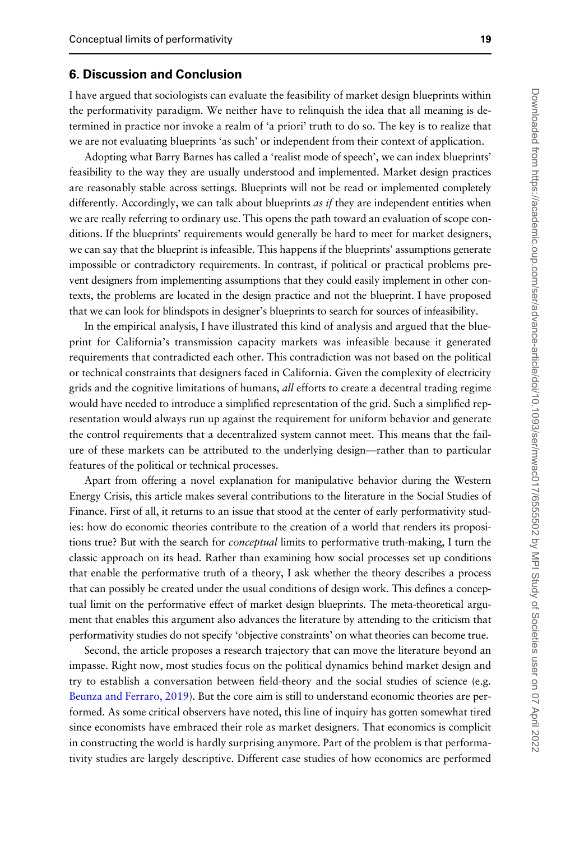#### 6. Discussion and Conclusion

I have argued that sociologists can evaluate the feasibility of market design blueprints within the performativity paradigm. We neither have to relinquish the idea that all meaning is determined in practice nor invoke a realm of 'a priori' truth to do so. The key is to realize that we are not evaluating blueprints 'as such' or independent from their context of application.

Adopting what Barry Barnes has called a 'realist mode of speech', we can index blueprints' feasibility to the way they are usually understood and implemented. Market design practices are reasonably stable across settings. Blueprints will not be read or implemented completely differently. Accordingly, we can talk about blueprints *as if* they are independent entities when we are really referring to ordinary use. This opens the path toward an evaluation of scope conditions. If the blueprints' requirements would generally be hard to meet for market designers, we can say that the blueprint is infeasible. This happens if the blueprints' assumptions generate impossible or contradictory requirements. In contrast, if political or practical problems prevent designers from implementing assumptions that they could easily implement in other contexts, the problems are located in the design practice and not the blueprint. I have proposed that we can look for blindspots in designer's blueprints to search for sources of infeasibility.

In the empirical analysis, I have illustrated this kind of analysis and argued that the blueprint for California's transmission capacity markets was infeasible because it generated requirements that contradicted each other. This contradiction was not based on the political or technical constraints that designers faced in California. Given the complexity of electricity grids and the cognitive limitations of humans, *all* efforts to create a decentral trading regime would have needed to introduce a simplified representation of the grid. Such a simplified representation would always run up against the requirement for uniform behavior and generate the control requirements that a decentralized system cannot meet. This means that the failure of these markets can be attributed to the underlying design—rather than to particular features of the political or technical processes.

Apart from offering a novel explanation for manipulative behavior during the Western Energy Crisis, this article makes several contributions to the literature in the Social Studies of Finance. First of all, it returns to an issue that stood at the center of early performativity studies: how do economic theories contribute to the creation of a world that renders its propositions true? But with the search for *conceptual* limits to performative truth-making, I turn the classic approach on its head. Rather than examining how social processes set up conditions that enable the performative truth of a theory, I ask whether the theory describes a process that can possibly be created under the usual conditions of design work. This defines a conceptual limit on the performative effect of market design blueprints. The meta-theoretical argument that enables this argument also advances the literature by attending to the criticism that performativity studies do not specify 'objective constraints' on what theories can become true.

Second, the article proposes a research trajectory that can move the literature beyond an impasse. Right now, most studies focus on the political dynamics behind market design and try to establish a conversation between field-theory and the social studies of science (e.g. [Beunza and Ferraro, 2019](#page-20-0)). But the core aim is still to understand economic theories are performed. As some critical observers have noted, this line of inquiry has gotten somewhat tired since economists have embraced their role as market designers. That economics is complicit in constructing the world is hardly surprising anymore. Part of the problem is that performativity studies are largely descriptive. Different case studies of how economics are performed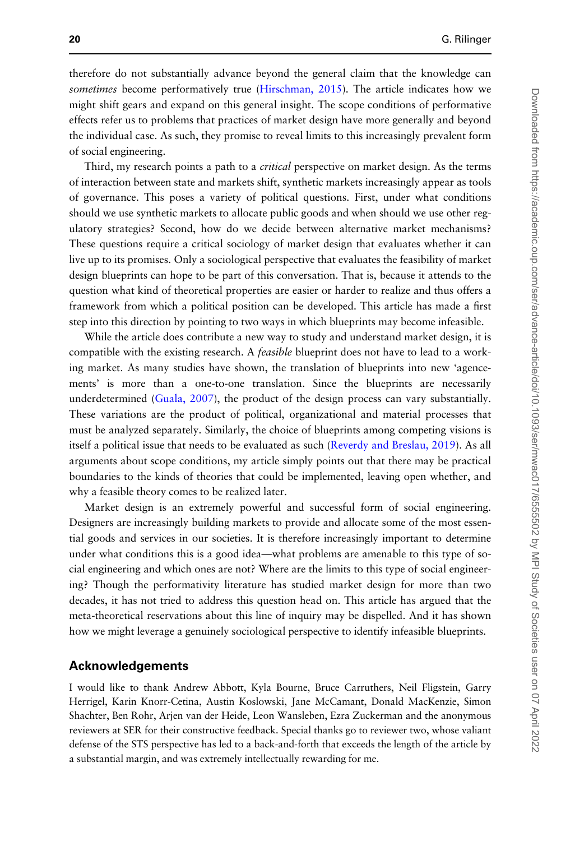therefore do not substantially advance beyond the general claim that the knowledge can sometimes become performatively true ([Hirschman, 2015\)](#page-21-0). The article indicates how we might shift gears and expand on this general insight. The scope conditions of performative effects refer us to problems that practices of market design have more generally and beyond the individual case. As such, they promise to reveal limits to this increasingly prevalent form of social engineering.

Third, my research points a path to a *critical* perspective on market design. As the terms of interaction between state and markets shift, synthetic markets increasingly appear as tools of governance. This poses a variety of political questions. First, under what conditions should we use synthetic markets to allocate public goods and when should we use other regulatory strategies? Second, how do we decide between alternative market mechanisms? These questions require a critical sociology of market design that evaluates whether it can live up to its promises. Only a sociological perspective that evaluates the feasibility of market design blueprints can hope to be part of this conversation. That is, because it attends to the question what kind of theoretical properties are easier or harder to realize and thus offers a framework from which a political position can be developed. This article has made a first step into this direction by pointing to two ways in which blueprints may become infeasible.

While the article does contribute a new way to study and understand market design, it is compatible with the existing research. A *feasible* blueprint does not have to lead to a working market. As many studies have shown, the translation of blueprints into new 'agencements' is more than a one-to-one translation. Since the blueprints are necessarily underdetermined [\(Guala, 2007\)](#page-21-0), the product of the design process can vary substantially. These variations are the product of political, organizational and material processes that must be analyzed separately. Similarly, the choice of blueprints among competing visions is itself a political issue that needs to be evaluated as such ([Reverdy and Breslau, 2019](#page-22-0)). As all arguments about scope conditions, my article simply points out that there may be practical boundaries to the kinds of theories that could be implemented, leaving open whether, and why a feasible theory comes to be realized later.

Market design is an extremely powerful and successful form of social engineering. Designers are increasingly building markets to provide and allocate some of the most essential goods and services in our societies. It is therefore increasingly important to determine under what conditions this is a good idea—what problems are amenable to this type of social engineering and which ones are not? Where are the limits to this type of social engineering? Though the performativity literature has studied market design for more than two decades, it has not tried to address this question head on. This article has argued that the meta-theoretical reservations about this line of inquiry may be dispelled. And it has shown how we might leverage a genuinely sociological perspective to identify infeasible blueprints.

#### Acknowledgements

I would like to thank Andrew Abbott, Kyla Bourne, Bruce Carruthers, Neil Fligstein, Garry Herrigel, Karin Knorr-Cetina, Austin Koslowski, Jane McCamant, Donald MacKenzie, Simon Shachter, Ben Rohr, Arjen van der Heide, Leon Wansleben, Ezra Zuckerman and the anonymous reviewers at SER for their constructive feedback. Special thanks go to reviewer two, whose valiant defense of the STS perspective has led to a back-and-forth that exceeds the length of the article by a substantial margin, and was extremely intellectually rewarding for me.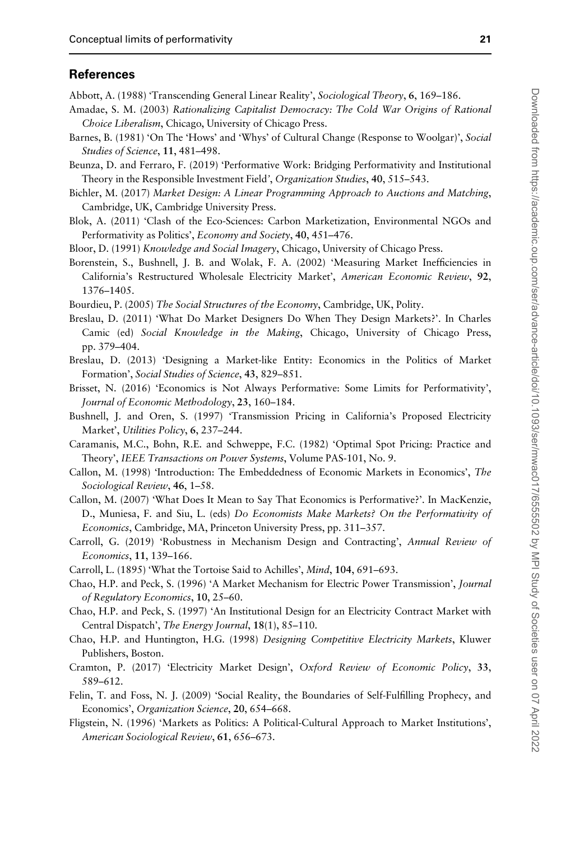#### <span id="page-20-0"></span>References

Abbott, A. (1988) 'Transcending General Linear Reality', Sociological Theory, 6, 169–186.

- Amadae, S. M. (2003) Rationalizing Capitalist Democracy: The Cold War Origins of Rational Choice Liberalism, Chicago, University of Chicago Press.
- Barnes, B. (1981) 'On The 'Hows' and 'Whys' of Cultural Change (Response to Woolgar)', Social Studies of Science, 11, 481–498.
- Beunza, D. and Ferraro, F. (2019) 'Performative Work: Bridging Performativity and Institutional Theory in the Responsible Investment Field', Organization Studies, 40, 515–543.
- Bichler, M. (2017) Market Design: A Linear Programming Approach to Auctions and Matching, Cambridge, UK, Cambridge University Press.
- Blok, A. (2011) 'Clash of the Eco-Sciences: Carbon Marketization, Environmental NGOs and Performativity as Politics', *Economy and Society*, 40, 451–476.
- Bloor, D. (1991) Knowledge and Social Imagery, Chicago, University of Chicago Press.
- Borenstein, S., Bushnell, J. B. and Wolak, F. A. (2002) 'Measuring Market Inefficiencies in California's Restructured Wholesale Electricity Market', American Economic Review, 92, 1376–1405.
- Bourdieu, P. (2005) The Social Structures of the Economy, Cambridge, UK, Polity.
- Breslau, D. (2011) 'What Do Market Designers Do When They Design Markets?'. In Charles Camic (ed) Social Knowledge in the Making, Chicago, University of Chicago Press, pp. 379–404.
- Breslau, D. (2013) 'Designing a Market-like Entity: Economics in the Politics of Market Formation', Social Studies of Science, 43, 829–851.
- Brisset, N. (2016) 'Economics is Not Always Performative: Some Limits for Performativity', Journal of Economic Methodology, 23, 160–184.
- Bushnell, J. and Oren, S. (1997) 'Transmission Pricing in California's Proposed Electricity Market', Utilities Policy, 6, 237-244.
- Caramanis, M.C., Bohn, R.E. and Schweppe, F.C. (1982) 'Optimal Spot Pricing: Practice and Theory', IEEE Transactions on Power Systems, Volume PAS-101, No. 9.
- Callon, M. (1998) 'Introduction: The Embeddedness of Economic Markets in Economics', The Sociological Review, 46, 1–58.
- Callon, M. (2007) 'What Does It Mean to Say That Economics is Performative?'. In MacKenzie, D., Muniesa, F. and Siu, L. (eds) Do Economists Make Markets? On the Performativity of Economics, Cambridge, MA, Princeton University Press, pp. 311–357.
- Carroll, G. (2019) 'Robustness in Mechanism Design and Contracting', Annual Review of Economics, 11, 139–166.
- Carroll, L. (1895) 'What the Tortoise Said to Achilles', Mind, 104, 691–693.
- Chao, H.P. and Peck, S. (1996) 'A Market Mechanism for Electric Power Transmission', Journal of Regulatory Economics, 10, 25–60.
- Chao, H.P. and Peck, S. (1997) 'An Institutional Design for an Electricity Contract Market with Central Dispatch', The Energy Journal, 18(1), 85–110.
- Chao, H.P. and Huntington, H.G. (1998) Designing Competitive Electricity Markets, Kluwer Publishers, Boston.
- Cramton, P. (2017) 'Electricity Market Design', Oxford Review of Economic Policy, 33, 589–612.
- Felin, T. and Foss, N. J. (2009) 'Social Reality, the Boundaries of Self-Fulfilling Prophecy, and Economics', Organization Science, 20, 654-668.
- Fligstein, N. (1996) 'Markets as Politics: A Political-Cultural Approach to Market Institutions', American Sociological Review, 61, 656–673.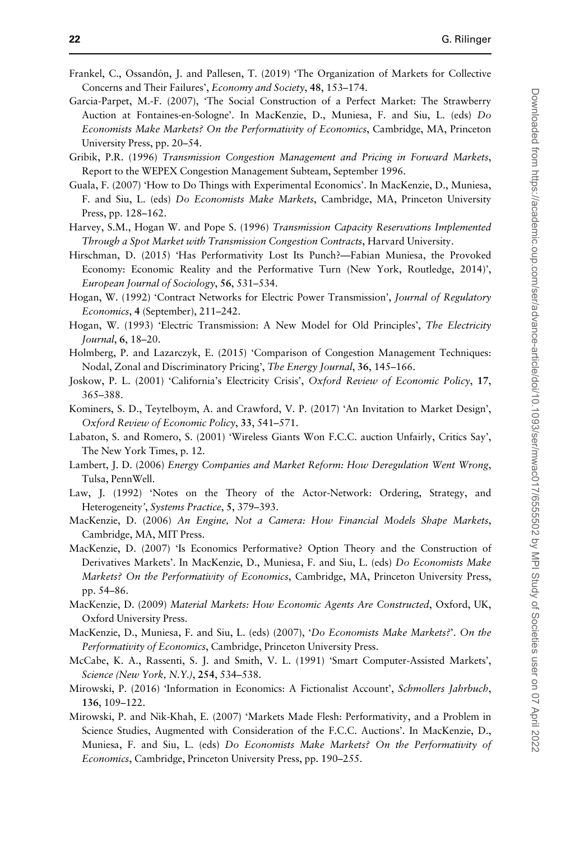- <span id="page-21-0"></span>Frankel, C., Ossandón, J. and Pallesen, T. (2019) 'The Organization of Markets for Collective Concerns and Their Failures', Economy and Society, 48, 153–174.
- Garcia-Parpet, M.-F. (2007), 'The Social Construction of a Perfect Market: The Strawberry Auction at Fontaines-en-Sologne'. In MacKenzie, D., Muniesa, F. and Siu, L. (eds) Do Economists Make Markets? On the Performativity of Economics, Cambridge, MA, Princeton University Press, pp. 20–54.
- Gribik, P.R. (1996) Transmission Congestion Management and Pricing in Forward Markets, Report to the WEPEX Congestion Management Subteam, September 1996.
- Guala, F. (2007) 'How to Do Things with Experimental Economics'. In MacKenzie, D., Muniesa, F. and Siu, L. (eds) Do Economists Make Markets, Cambridge, MA, Princeton University Press, pp. 128–162.
- Harvey, S.M., Hogan W. and Pope S. (1996) Transmission Capacity Reservations Implemented Through a Spot Market with Transmission Congestion Contracts, Harvard University.
- Hirschman, D. (2015) 'Has Performativity Lost Its Punch?—Fabian Muniesa, the Provoked Economy: Economic Reality and the Performative Turn (New York, Routledge, 2014)', European Journal of Sociology, 56, 531–534.
- Hogan, W. (1992) 'Contract Networks for Electric Power Transmission', Journal of Regulatory Economics, 4 (September), 211–242.
- Hogan, W. (1993) 'Electric Transmission: A New Model for Old Principles', The Electricity Journal, 6, 18–20.
- Holmberg, P. and Lazarczyk, E. (2015) 'Comparison of Congestion Management Techniques: Nodal, Zonal and Discriminatory Pricing', The Energy Journal, 36, 145–166.
- Joskow, P. L. (2001) 'California's Electricity Crisis', Oxford Review of Economic Policy, 17, 365–388.
- Kominers, S. D., Teytelboym, A. and Crawford, V. P. (2017) 'An Invitation to Market Design', Oxford Review of Economic Policy, 33, 541–571.
- Labaton, S. and Romero, S. (2001) 'Wireless Giants Won F.C.C. auction Unfairly, Critics Say', The New York Times, p. 12.
- Lambert, J. D. (2006) Energy Companies and Market Reform: How Deregulation Went Wrong, Tulsa, PennWell.
- Law, J. (1992) 'Notes on the Theory of the Actor-Network: Ordering, Strategy, and Heterogeneity', Systems Practice, 5, 379–393.
- MacKenzie, D. (2006) An Engine, Not a Camera: How Financial Models Shape Markets, Cambridge, MA, MIT Press.
- MacKenzie, D. (2007) 'Is Economics Performative? Option Theory and the Construction of Derivatives Markets'. In MacKenzie, D., Muniesa, F. and Siu, L. (eds) Do Economists Make Markets? On the Performativity of Economics, Cambridge, MA, Princeton University Press, pp. 54–86.
- MacKenzie, D. (2009) Material Markets: How Economic Agents Are Constructed, Oxford, UK, Oxford University Press.
- MacKenzie, D., Muniesa, F. and Siu, L. (eds) (2007), 'Do Economists Make Markets?'. On the Performativity of Economics, Cambridge, Princeton University Press.
- McCabe, K. A., Rassenti, S. J. and Smith, V. L. (1991) 'Smart Computer-Assisted Markets', Science (New York, N.Y.), 254, 534–538.
- Mirowski, P. (2016) 'Information in Economics: A Fictionalist Account', Schmollers Jahrbuch, 136, 109–122.
- Mirowski, P. and Nik-Khah, E. (2007) 'Markets Made Flesh: Performativity, and a Problem in Science Studies, Augmented with Consideration of the F.C.C. Auctions'. In MacKenzie, D., Muniesa, F. and Siu, L. (eds) Do Economists Make Markets? On the Performativity of Economics, Cambridge, Princeton University Press, pp. 190–255.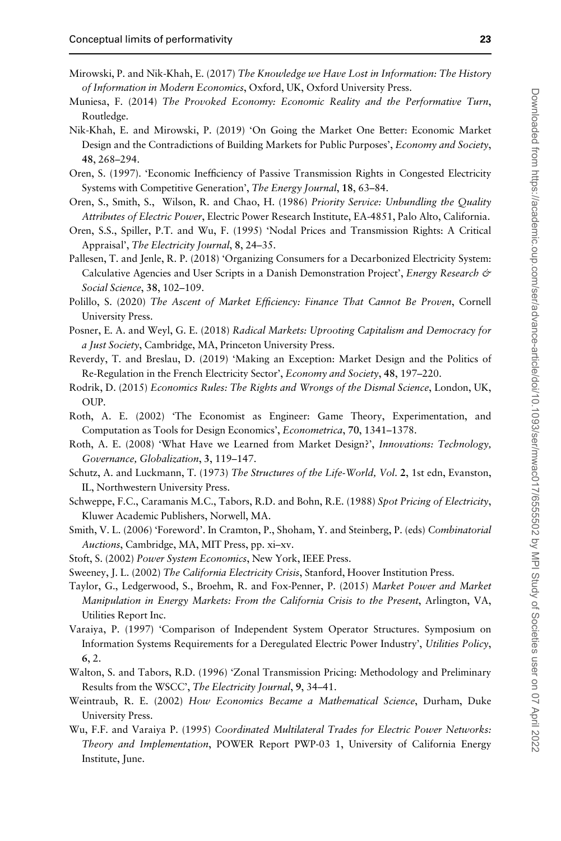- <span id="page-22-0"></span>Mirowski, P. and Nik-Khah, E. (2017) The Knowledge we Have Lost in Information: The History of Information in Modern Economics, Oxford, UK, Oxford University Press.
- Muniesa, F. (2014) The Provoked Economy: Economic Reality and the Performative Turn, Routledge.
- Nik-Khah, E. and Mirowski, P. (2019) 'On Going the Market One Better: Economic Market Design and the Contradictions of Building Markets for Public Purposes', *Economy and Society*, 48, 268–294.
- Oren, S. (1997). 'Economic Inefficiency of Passive Transmission Rights in Congested Electricity Systems with Competitive Generation', The Energy Journal, 18, 63–84.
- Oren, S., Smith, S., Wilson, R. and Chao, H. (1986) Priority Service: Unbundling the Quality Attributes of Electric Power, Electric Power Research Institute, EA-4851, Palo Alto, California.
- Oren, S.S., Spiller, P.T. and Wu, F. (1995) 'Nodal Prices and Transmission Rights: A Critical Appraisal', The Electricity Journal, 8, 24–35.
- Pallesen, T. and Jenle, R. P. (2018) 'Organizing Consumers for a Decarbonized Electricity System: Calculative Agencies and User Scripts in a Danish Demonstration Project', *Energy Research &* Social Science, 38, 102–109.
- Polillo, S. (2020) The Ascent of Market Efficiency: Finance That Cannot Be Proven, Cornell University Press.
- Posner, E. A. and Weyl, G. E. (2018) Radical Markets: Uprooting Capitalism and Democracy for a Just Society, Cambridge, MA, Princeton University Press.
- Reverdy, T. and Breslau, D. (2019) 'Making an Exception: Market Design and the Politics of Re-Regulation in the French Electricity Sector', Economy and Society, 48, 197–220.
- Rodrik, D. (2015) Economics Rules: The Rights and Wrongs of the Dismal Science, London, UK, OUP.
- Roth, A. E. (2002) 'The Economist as Engineer: Game Theory, Experimentation, and Computation as Tools for Design Economics', Econometrica, 70, 1341–1378.
- Roth, A. E. (2008) 'What Have we Learned from Market Design?', Innovations: Technology, Governance, Globalization, 3, 119–147.
- Schutz, A. and Luckmann, T. (1973) The Structures of the Life-World, Vol. 2, 1st edn, Evanston, IL, Northwestern University Press.
- Schweppe, F.C., Caramanis M.C., Tabors, R.D. and Bohn, R.E. (1988) Spot Pricing of Electricity, Kluwer Academic Publishers, Norwell, MA.
- Smith, V. L. (2006) 'Foreword'. In Cramton, P., Shoham, Y. and Steinberg, P. (eds) Combinatorial Auctions, Cambridge, MA, MIT Press, pp. xi–xv.
- Stoft, S. (2002) Power System Economics, New York, IEEE Press.
- Sweeney, J. L. (2002) The California Electricity Crisis, Stanford, Hoover Institution Press.
- Taylor, G., Ledgerwood, S., Broehm, R. and Fox-Penner, P. (2015) Market Power and Market Manipulation in Energy Markets: From the California Crisis to the Present, Arlington, VA, Utilities Report Inc.
- Varaiya, P. (1997) 'Comparison of Independent System Operator Structures. Symposium on Information Systems Requirements for a Deregulated Electric Power Industry', Utilities Policy, 6, 2.
- Walton, S. and Tabors, R.D. (1996) 'Zonal Transmission Pricing: Methodology and Preliminary Results from the WSCC', The Electricity Journal, 9, 34-41.
- Weintraub, R. E. (2002) How Economics Became a Mathematical Science, Durham, Duke University Press.
- Wu, F.F. and Varaiya P. (1995) Coordinated Multilateral Trades for Electric Power Networks: Theory and Implementation, POWER Report PWP-03 1, University of California Energy Institute, June.